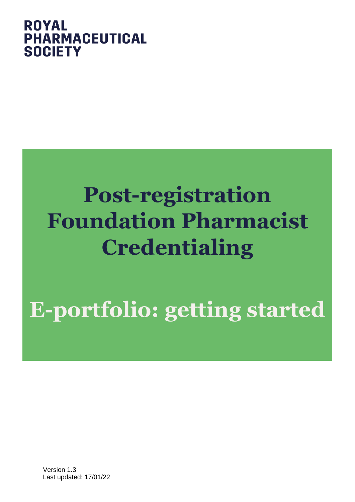## **ROYAL PHARMACEUTICAL SOCIETY**

# **Post-registration Foundation Pharmacist Credentialing**

**E-portfolio: getting started**

Version 1.3 Last updated: 17/01/22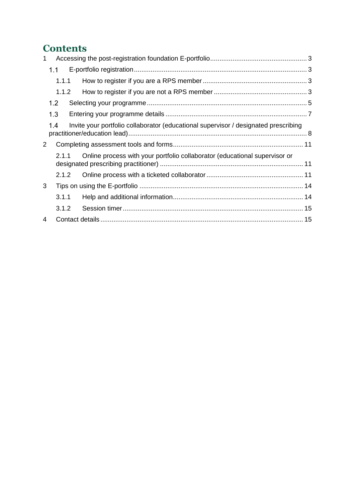## **Contents**

| 1              |       |                                                                                     |  |
|----------------|-------|-------------------------------------------------------------------------------------|--|
|                | 1.1   |                                                                                     |  |
|                | 1.1.1 |                                                                                     |  |
|                | 1.1.2 |                                                                                     |  |
|                | 1.2   |                                                                                     |  |
|                | 1.3   |                                                                                     |  |
|                | 1.4   | Invite your portfolio collaborator (educational supervisor / designated prescribing |  |
| 2 <sup>1</sup> |       |                                                                                     |  |
|                | 2.1.1 | Online process with your portfolio collaborator (educational supervisor or          |  |
|                | 2.1.2 |                                                                                     |  |
| 3              |       |                                                                                     |  |
|                | 3.1.1 |                                                                                     |  |
|                | 3.1.2 |                                                                                     |  |
| $\overline{4}$ |       |                                                                                     |  |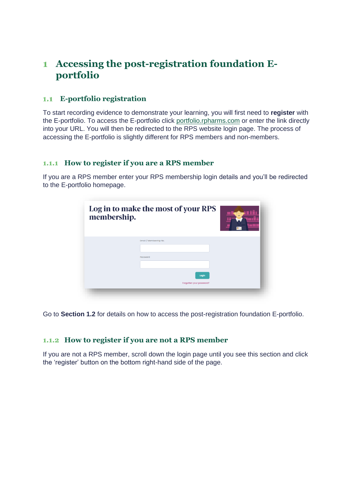## <span id="page-2-0"></span>**1 Accessing the post-registration foundation Eportfolio**

#### <span id="page-2-1"></span>**E-portfolio registration**  $1.1$

To start recording evidence to demonstrate your learning, you will first need to **register** with the E-portfolio. To access the E-portfolio click [portfolio.rpharms.com](https://portfolio.rpharms.com/) or enter the link directly into your URL. You will then be redirected to the RPS website login page. The process of accessing the E-portfolio is slightly different for RPS members and non-members.

#### <span id="page-2-2"></span>**1.1.1 How to register if you are a RPS member**

If you are a RPS member enter your RPS membership login details and you'll be redirected to the E-portfolio homepage.

| membership. | Log in to make the most of your RPS |  |
|-------------|-------------------------------------|--|
|             | Email / Membership No.<br>Password  |  |
|             | Login<br>Forgotten your password?   |  |

Go to **Section 1.2** for details on how to access the post-registration foundation E-portfolio.

#### <span id="page-2-3"></span>**1.1.2 How to register if you are not a RPS member**

If you are not a RPS member, scroll down the login page until you see this section and click the 'register' button on the bottom right-hand side of the page.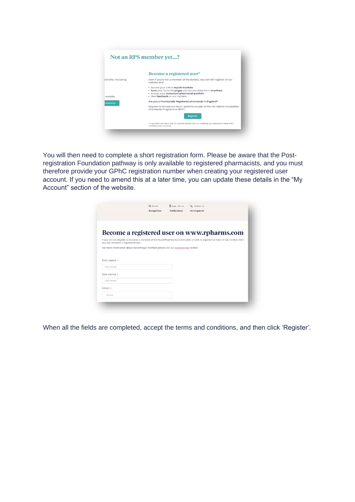|                      | Become a registered user*                                                                                            |
|----------------------|----------------------------------------------------------------------------------------------------------------------|
| benefits, including: | Even if you're not a member of the Society, you can still register on our<br>website and:                            |
|                      | • Record your CPD in MyCPD Portfolio<br>· Save your favourite pages and access them from anywhere                    |
| website.             | · Access your consultant pharmacist portfolio<br>· Give feedback on our content.                                     |
| mbership             | Are you a Provisionally Registered pharmacist in England?                                                            |
|                      | Register to access our new E-portfolio as part of the HEE Interim Foundation<br>Pharmacist Programme (IFPP).         |
|                      | Register                                                                                                             |
|                      | *If you think you have had an account before then try resetting your password rather than<br>creating a new account. |

You will then need to complete a short registration form. Please be aware that the Postregistration Foundation pathway is only available to registered pharmacists, and you must therefore provide your GPhC registration number when creating your registered user account. If you need to amend this at a later time, you can update these details in the "My Account" section of the website.

|                                                                                   | Q search    | <b>Q</b> Login Join us | & Contact us                                                                                                                   |  |
|-----------------------------------------------------------------------------------|-------------|------------------------|--------------------------------------------------------------------------------------------------------------------------------|--|
|                                                                                   | Recognition | <b>Publications</b>    | Development                                                                                                                    |  |
|                                                                                   |             |                        |                                                                                                                                |  |
|                                                                                   |             |                        |                                                                                                                                |  |
|                                                                                   |             |                        |                                                                                                                                |  |
|                                                                                   |             |                        | Become a registered user on www.rpharms.com                                                                                    |  |
| you can become a registered user.                                                 |             |                        | If you are not eligible to become a member of the Royal Pharmaceutical Society or wish to experience more of our services then |  |
| For more information about becoming a member please visit our membership section. |             |                        |                                                                                                                                |  |
|                                                                                   |             |                        |                                                                                                                                |  |
|                                                                                   |             |                        |                                                                                                                                |  |
|                                                                                   |             |                        |                                                                                                                                |  |
|                                                                                   |             |                        |                                                                                                                                |  |
| -First name-                                                                      |             |                        |                                                                                                                                |  |
|                                                                                   |             |                        |                                                                                                                                |  |
|                                                                                   |             |                        |                                                                                                                                |  |
| $-$ Last name-                                                                    |             |                        |                                                                                                                                |  |
|                                                                                   |             |                        |                                                                                                                                |  |
| First name .<br>Last name $\cdot$<br>Fmail •                                      |             |                        |                                                                                                                                |  |
| $-Fmail-$                                                                         |             |                        |                                                                                                                                |  |

When all the fields are completed, accept the terms and conditions, and then click 'Register'.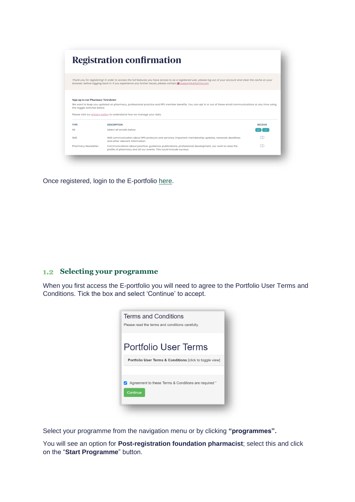|                                                                                        | <b>Registration confirmation</b>                                                                                                                                                                                                                                                   |                |
|----------------------------------------------------------------------------------------|------------------------------------------------------------------------------------------------------------------------------------------------------------------------------------------------------------------------------------------------------------------------------------|----------------|
|                                                                                        | Thank you for registering! In order to access the full features you have access to as a registered user, please log out of your account and clear the cache on your<br>browser, before logging back in. If you experience any further issues, please contact a support@rpharms.com |                |
|                                                                                        |                                                                                                                                                                                                                                                                                    |                |
|                                                                                        | We want to keep you updated on pharmacy, professional practice and RPS member benefits. You can opt in or out of these email communications at any time using<br>Please visit our privacy policy to understand how we manage your data.                                            |                |
| <b>Sign up to our Pharmacy Newsletter</b><br>the toggle switches below.<br><b>TYPE</b> | <b>DESCRIPTION</b>                                                                                                                                                                                                                                                                 | <b>RECEIVE</b> |
|                                                                                        | Select all emails below.                                                                                                                                                                                                                                                           |                |
| All<br><b>SMS</b>                                                                      | SMS communication about RPS products and services, important membership updates, renewals deadlines<br>and other relevant information.                                                                                                                                             | m              |

Once registered, login to the E-portfolio [here.](https://portfolio.rpharms.com/)

### <span id="page-4-0"></span>**1.2** Selecting your programme

When you first access the E-portfolio you will need to agree to the Portfolio User Terms and Conditions. Tick the box and select 'Continue' to accept.

| <b>Terms and Conditions</b><br>Please read the terms and conditions carefully. |
|--------------------------------------------------------------------------------|
| Portfolio User Terms                                                           |
| <b>Portfolio User Terms &amp; Conditions [click to toggle view]</b>            |
| Agreement to these Terms & Conditions are required *<br>Continue               |

Select your programme from the navigation menu or by clicking **"programmes".**

You will see an option for **Post-registration foundation pharmacist**; select this and click on the "**Start Programme**" button.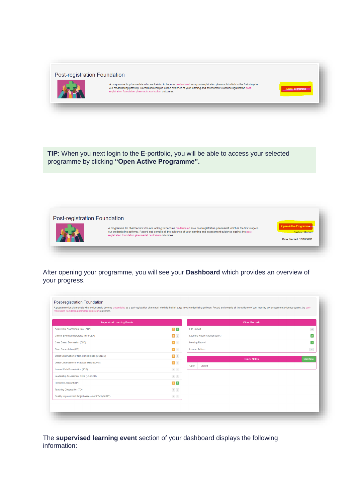Post-registration Foundation



A programme for pharmacists who are looking to become credentialed as a post-registration pharmacist which is the first stage in<br>our credentialing pathway. Record and compile all the evidence of your learning and assessmen

**TIP**: When you next login to the E-portfolio, you will be able to access your selected programme by clicking **"Open Active Programme".**



After opening your programme, you will see your **Dashboard** which provides an overview of your progress.

| <b>Supervised Learning Events</b>                   |                                                                             |                        | <b>Other Records</b>          |                   |
|-----------------------------------------------------|-----------------------------------------------------------------------------|------------------------|-------------------------------|-------------------|
| Acute Care Assessment Tool (ACAT)                   | $\begin{bmatrix} 2 \\ 1 \end{bmatrix}$                                      | <b>File Upload</b>     |                               | $\vert 4 \vert$   |
| Clinical Evaluation Exercise (mini-CEX)             | $\begin{array}{ c c c }\hline \textbf{2} & \textbf{0} & \hline \end{array}$ |                        | Learning Needs Analysis (LNA) | $\mathbf{z}$      |
| Case Based Discussion (CbD)                         | $\begin{array}{ c c c }\n\hline\n\textbf{1} & \textbf{0}\n\end{array}$      |                        | <b>Meeting Record</b>         | $\vert$ 2 $\vert$ |
| Case Presentation (CP)                              | $\begin{array}{ c c c c c }\n\hline\n\textbf{1} & \textbf{0}\n\end{array}$  | <b>Learner Actions</b> |                               | $21\,$            |
| Direct Observation of Non-Clinical Skills (DONCS)   |                                                                             |                        | <b>Quick Notes</b>            | <b>Start New</b>  |
| Direct Observation of Practical Skills (DOPS)       | $\begin{bmatrix} 5 \end{bmatrix}$ 0                                         | Open                   | Closed                        |                   |
| Journal Club Presentation (JCP)                     | $\begin{array}{ c c } \hline 0 & 0 \\ \hline \end{array}$                   |                        |                               |                   |
| Leadership Assessment Skills (LEADER)               | $\begin{array}{ c c } \hline 0 & 0 \\ \hline \end{array}$                   |                        |                               |                   |
| Reflective Account (RA)                             | 111                                                                         |                        |                               |                   |
| Teaching Observation (TO)                           | $\begin{array}{ c c } \hline 0 & 0 \\ \hline \end{array}$                   |                        |                               |                   |
| Quality Improvement Project Assessment Tool (QIPAT) | $\begin{array}{ c c } \hline 0 & 0 \\ \hline \end{array}$                   |                        |                               |                   |

The **supervised learning event** section of your dashboard displays the following information: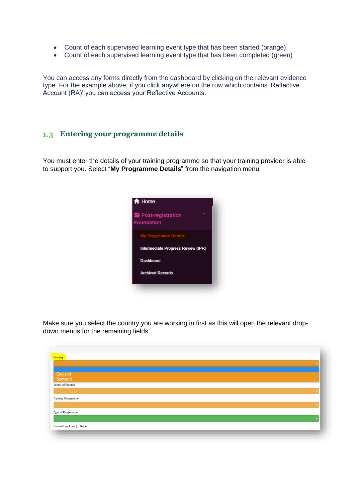- Count of each supervised learning event type that has been started (orange)
- Count of each supervised learning event type that has been completed (green)

You can access any forms directly from the dashboard by clicking on the relevant evidence type. For the example above, if you click anywhere on the row which contains 'Reflective Account (RA)' you can access your Reflective Accounts.

#### <span id="page-6-0"></span>**Entering your programme details**

You must enter the details of your training programme so that your training provider is able to support you. Select "**My Programme Details**" from the navigation menu.



Make sure you select the country you are working in first as this will open the relevant dropdown menus for the remaining fields.

| Country                           |              |
|-----------------------------------|--------------|
|                                   |              |
| England<br>Scotland               |              |
| <b>Sector of Practice</b>         | $\checkmark$ |
| <b>Training Programme</b>         |              |
| <b>Type of Programme</b>          | $\checkmark$ |
|                                   |              |
| <b>Current Employer (or None)</b> |              |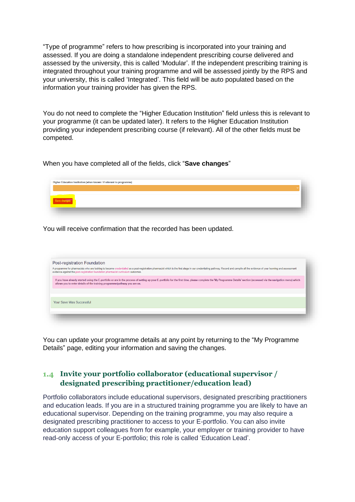"Type of programme" refers to how prescribing is incorporated into your training and assessed. If you are doing a standalone independent prescribing course delivered and assessed by the university, this is called 'Modular'. If the independent prescribing training is integrated throughout your training programme and will be assessed jointly by the RPS and your university, this is called 'Integrated'. This field will be auto populated based on the information your training provider has given the RPS.

You do not need to complete the "Higher Education Institution" field unless this is relevant to your programme (it can be updated later). It refers to the Higher Education Institution providing your independent prescribing course (if relevant). All of the other fields must be competed.

When you have completed all of the fields, click "**Save changes**"

| Higher Education Institution (when known / if relevant to programme) |  |  |
|----------------------------------------------------------------------|--|--|
| Save changes <sup>1</sup>                                            |  |  |
|                                                                      |  |  |

You will receive confirmation that the recorded has been updated.

| Post-registration Foundation |                                                                                                                                                                                                                                                                                                                     |
|------------------------------|---------------------------------------------------------------------------------------------------------------------------------------------------------------------------------------------------------------------------------------------------------------------------------------------------------------------|
|                              | A programme for pharmacists who are looking to become credentialed as a post-registration pharmacist which is the first stage in our credentialing pathway. Record and compile all the evidence of your learning and assessmen<br>evidence against the post-registration foundation pharmacist curriculum outcomes. |
|                              | If you have already started using the E-portfolio or are in the process of setting up your E-portfolio for the first time, please complete the 'My Programme Details' section (accessed via the navigation menu) which<br>allows you to enter details of the training programme/pathway you are on.                 |
|                              |                                                                                                                                                                                                                                                                                                                     |
| Your Save Was Successful     |                                                                                                                                                                                                                                                                                                                     |
|                              |                                                                                                                                                                                                                                                                                                                     |
|                              |                                                                                                                                                                                                                                                                                                                     |

You can update your programme details at any point by returning to the "My Programme Details" page, editing your information and saving the changes.

#### <span id="page-7-0"></span>**Invite your portfolio collaborator (educational supervisor / designated prescribing practitioner/education lead)**

Portfolio collaborators include educational supervisors, designated prescribing practitioners and education leads. If you are in a structured training programme you are likely to have an educational supervisor. Depending on the training programme, you may also require a designated prescribing practitioner to access to your E-portfolio. You can also invite education support colleagues from for example, your employer or training provider to have read-only access of your E-portfolio; this role is called 'Education Lead'.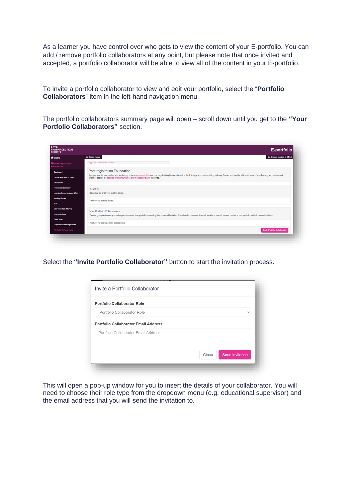As a learner you have control over who gets to view the content of your E-portfolio. You can add / remove portfolio collaborators at any point, but please note that once invited and accepted, a portfolio collaborator will be able to view all of the content in your E-portfolio.

To invite a portfolio collaborator to view and edit your portfolio, select the "**Portfolio Collaborators**" item in the left-hand navigation menu.

The portfolio collaborators summary page will open – scroll down until you get to the **"Your Portfolio Collaborators"** section.

| <b>ROYAL</b><br><b>PHARMACEUTICAL</b><br><b>SOCIETY</b> | E-portfolio                                                                                                                                                                                                                                                                                                         |
|---------------------------------------------------------|---------------------------------------------------------------------------------------------------------------------------------------------------------------------------------------------------------------------------------------------------------------------------------------------------------------------|
| <del>n</del> Home                                       | © Session expires in 34:54<br>$\equiv$ Toggle menu                                                                                                                                                                                                                                                                  |
| Post-registration<br><b>Foundation</b>                  | Looped in as Caroline Souter (Learner)                                                                                                                                                                                                                                                                              |
| Dashboard                                               | Post-registration Foundation                                                                                                                                                                                                                                                                                        |
| <b>Clinical Assessment Skills</b>                       | A programme for pharmacists who are looking to become credentialed as a post-registration pharmacist which is the first stage in our credentialing pathway. Record and compile all the evidence of your learning and assessmen<br>evidence against the post-registration foundation pharmacist curriculum outcomes. |
| <b>File Upload</b>                                      |                                                                                                                                                                                                                                                                                                                     |
| <b>Framework Summary</b>                                | <b>Ticketing</b>                                                                                                                                                                                                                                                                                                    |
| <b>Learning Needs Analysis (LNA)</b>                    | Below is a list of all your existing tickets.                                                                                                                                                                                                                                                                       |
| <b>Meeting Record</b>                                   | You have no existing tickets.                                                                                                                                                                                                                                                                                       |
| <b>MSF</b>                                              |                                                                                                                                                                                                                                                                                                                     |
| <b>MSF reflection (MSFR)</b>                            | Your Portfolio Collaborators                                                                                                                                                                                                                                                                                        |
| <b>Learner Actions</b>                                  | You can give permissions your colleagues to access your portfolio by sending them an email invitation. Once they have access, they will be able to view all records created in your portfolio and edit relevant sections.                                                                                           |
| Quick Note                                              |                                                                                                                                                                                                                                                                                                                     |
| <b>Supervised Learning Events</b>                       | You have no active portfolio collaborators.                                                                                                                                                                                                                                                                         |
| <b>Portfolio Collaborators</b>                          | <b>Invite Portfolio Collaborator</b>                                                                                                                                                                                                                                                                                |

Select the **"Invite Portfolio Collaborator"** button to start the invitation process.

| Invite a Portfolio Collaborator             |                                 |
|---------------------------------------------|---------------------------------|
| <b>Portfolio Collaborator Role</b>          |                                 |
| Portfolio Collaborator Role                 | $\checkmark$                    |
| <b>Portfolio Collaborator Email Address</b> |                                 |
| Portfolio Collaborator Email Address        |                                 |
|                                             |                                 |
|                                             | Close<br><b>Send invitation</b> |

This will open a pop-up window for you to insert the details of your collaborator. You will need to choose their role type from the dropdown menu (e.g. educational supervisor) and the email address that you will send the invitation to.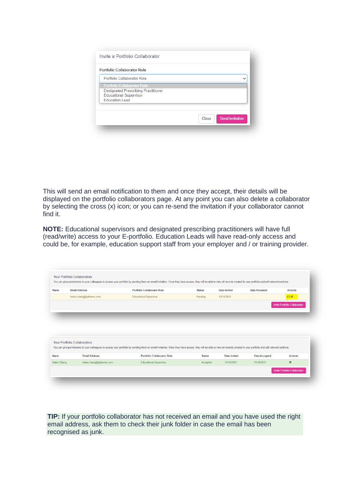| Portfolio Collaborator Role                |                                 |
|--------------------------------------------|---------------------------------|
| Portfolio Collaborator Role                |                                 |
| <b>Portfolio Collaborator Role</b>         |                                 |
| <b>Designated Prescribing Practitioner</b> |                                 |
| <b>Educational Supervisor</b>              |                                 |
|                                            |                                 |
| <b>Education Lead</b>                      |                                 |
|                                            | <b>Send invitation</b><br>Close |

This will send an email notification to them and once they accept, their details will be displayed on the portfolio collaborators page. At any point you can also delete a collaborator by selecting the cross (x) icon; or you can re-send the invitation if your collaborator cannot find it.

**NOTE:** Educational supervisors and designated prescribing practitioners will have full (read/write) access to your E-portfolio. Education Leads will have read-only access and could be, for example, education support staff from your employer and / or training provider.

**TIP:** If your portfolio collaborator has not received an email and you have used the right email address, ask them to check their junk folder in case the email has been recognised as junk.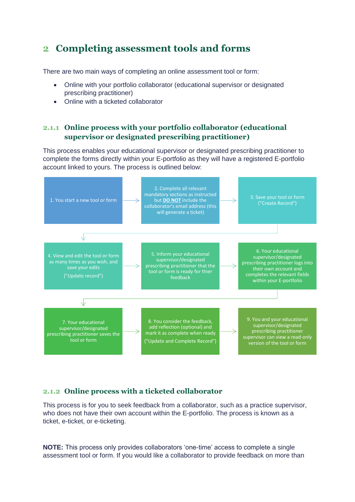## <span id="page-10-0"></span>**2 Completing assessment tools and forms**

There are two main ways of completing an online assessment tool or form:

- Online with your portfolio collaborator (educational supervisor or designated prescribing practitioner)
- Online with a ticketed collaborator

#### <span id="page-10-1"></span>**2.1.1 Online process with your portfolio collaborator (educational supervisor or designated prescribing practitioner)**

This process enables your educational supervisor or designated prescribing practitioner to complete the forms directly within your E-portfolio as they will have a registered E-portfolio account linked to yours. The process is outlined below:



#### <span id="page-10-2"></span>**2.1.2 Online process with a ticketed collaborator**

This process is for you to seek feedback from a collaborator, such as a practice supervisor, who does not have their own account within the E-portfolio. The process is known as a ticket, e-ticket, or e-ticketing.

**NOTE:** This process only provides collaborators 'one-time' access to complete a single assessment tool or form. If you would like a collaborator to provide feedback on more than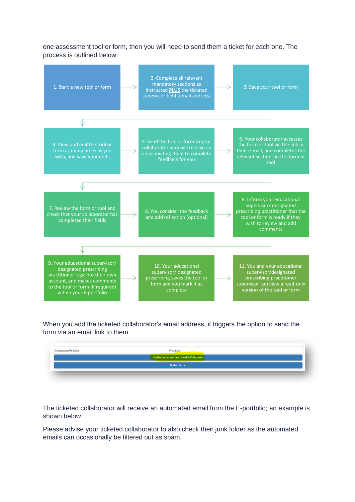one assessment tool or form, then you will need to send them a ticket for each one. The process is outlined below:



When you add the ticketed collaborator's email address, it triggers the option to send the form via an email link to them.

| <b>Collaborator Position*</b> | Pharmacist                                   |  |
|-------------------------------|----------------------------------------------|--|
|                               | Update Record and Send Email to Collaborator |  |
|                               | <b>Update Record</b>                         |  |
|                               |                                              |  |
|                               |                                              |  |

The ticketed collaborator will receive an automated email from the E-portfolio; an example is shown below.

Please advise your ticketed collaborator to also check their junk folder as the automated emails can occasionally be filtered out as spam.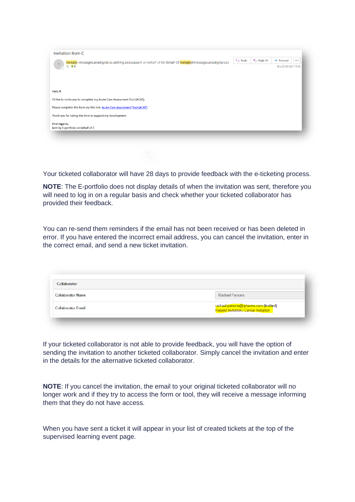| noreply=messages.axiadigital.co.uk@mg.axia.support on behalf of On Behalf Of noreply@messages.axiadigital.co.u | $\leftarrow$ Reply | K Reply All | $\rightarrow$ Forward<br>$\cdots$ |
|----------------------------------------------------------------------------------------------------------------|--------------------|-------------|-----------------------------------|
| $\frac{1}{2}$<br>To OR                                                                                         |                    |             | Thu 23/09/2021 11:43              |
|                                                                                                                |                    |             |                                   |
|                                                                                                                |                    |             |                                   |
|                                                                                                                |                    |             |                                   |
| Hello R.                                                                                                       |                    |             |                                   |
| I'd like to invite you to complete my Acute Care Assessment Tool (ACAT).                                       |                    |             |                                   |
|                                                                                                                |                    |             |                                   |
| Please complete this form via this link: Acute Care Assessment Tool (ACAT)                                     |                    |             |                                   |
| Thank you for taking the time to support my development.                                                       |                    |             |                                   |
| Kind regards,                                                                                                  |                    |             |                                   |
| Sent by E-portfolio on behalf of C                                                                             |                    |             |                                   |

Your ticketed collaborator will have 28 days to provide feedback with the e-ticketing process.

**NOTE**: The E-portfolio does not display details of when the invitation was sent, therefore you will need to log in on a regular basis and check whether your ticketed collaborator has provided their feedback.

You can re-send them reminders if the email has not been received or has been deleted in error. If you have entered the incorrect email address, you can cancel the invitation, enter in the correct email, and send a new ticket invitation.

| Collaborator              |                                                                                             |
|---------------------------|---------------------------------------------------------------------------------------------|
| <b>Collaborator Name</b>  | <b>Rachael Parsons</b>                                                                      |
| <b>Collaborator Email</b> | rachael.parsons@rpharms.com (Invited)<br><mark>Resend Invitation / Cancel Invitation</mark> |
|                           |                                                                                             |

If your ticketed collaborator is not able to provide feedback, you will have the option of sending the invitation to another ticketed collaborator. Simply cancel the invitation and enter in the details for the alternative ticketed collaborator.

**NOTE:** If you cancel the invitation, the email to your original ticketed collaborator will no longer work and if they try to access the form or tool, they will receive a message informing them that they do not have access.

When you have sent a ticket it will appear in your list of created tickets at the top of the supervised learning event page.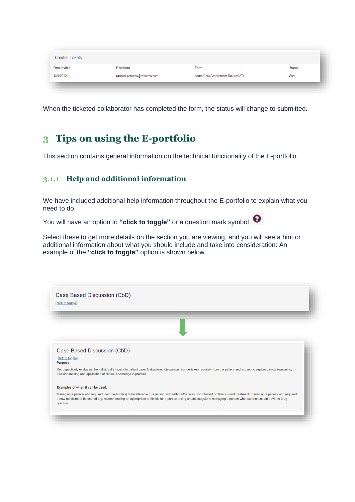| <b>Date Invited</b> | <b>Recipient</b>            | Form                              | <b>Status</b> |
|---------------------|-----------------------------|-----------------------------------|---------------|
| 13/10/2021          | rachael.parsons@rpharms.com | Acute Care Assessment Tool (ACAT) | Sent          |

When the ticketed collaborator has completed the form, the status will change to submitted.

## <span id="page-13-0"></span>**3 Tips on using the E-portfolio**

This section contains general information on the technical functionality of the E-portfolio.

#### <span id="page-13-1"></span>**3.1.1 Help and additional information**

We have included additional help information throughout the E-portfolio to explain what you need to do.

You will have an option to "click to toggle" or a question mark symbol  $\bigcirc$ 

Select these to get more details on the section you are viewing, and you will see a hint or additional information about what you should include and take into consideration: An example of the **"click to toggle"** option is shown below.

|                               | Case Based Discussion (CbD)                                                                                                                                                                                                                                                                                                                   |
|-------------------------------|-----------------------------------------------------------------------------------------------------------------------------------------------------------------------------------------------------------------------------------------------------------------------------------------------------------------------------------------------|
| [click to toggle]<br>Purpose: |                                                                                                                                                                                                                                                                                                                                               |
|                               | Retrospectively evaluates the individual's input into patient care. A structured discussion is undertaken remotely from the patient and is used to explore clinical reasoning,<br>decision making and application of clinical knowledge in practice.                                                                                          |
|                               | Examples of when it can be used:                                                                                                                                                                                                                                                                                                              |
| reaction.                     | Managing a person who required their medicine(s) to be altered e.g. a person with asthma that was uncontrolled on their current treatment; managing a person who required<br>a new medicine to be started e.g. recommending an appropriate antibiotic for a person taking an anticoagulant; managing a person who experienced an adverse drug |